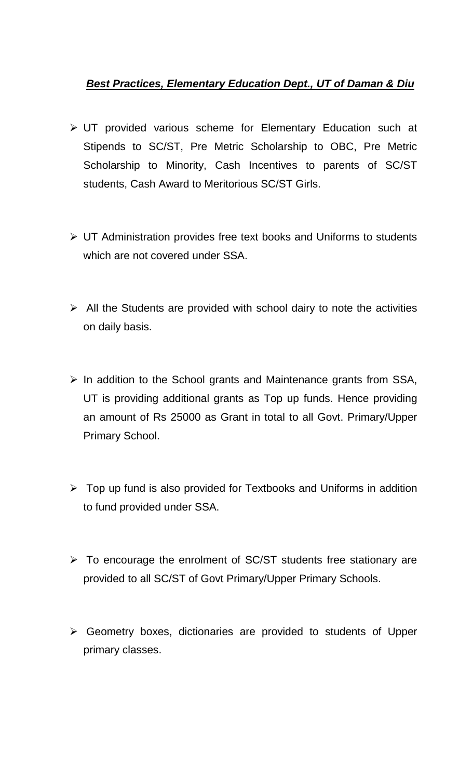## *Best Practices, Elementary Education Dept., UT of Daman & Diu*

- UT provided various scheme for Elementary Education such at Stipends to SC/ST, Pre Metric Scholarship to OBC, Pre Metric Scholarship to Minority, Cash Incentives to parents of SC/ST students, Cash Award to Meritorious SC/ST Girls.
- UT Administration provides free text books and Uniforms to students which are not covered under SSA.
- $\triangleright$  All the Students are provided with school dairy to note the activities on daily basis.
- $\triangleright$  In addition to the School grants and Maintenance grants from SSA, UT is providing additional grants as Top up funds. Hence providing an amount of Rs 25000 as Grant in total to all Govt. Primary/Upper Primary School.
- $\triangleright$  Top up fund is also provided for Textbooks and Uniforms in addition to fund provided under SSA.
- $\triangleright$  To encourage the enrolment of SC/ST students free stationary are provided to all SC/ST of Govt Primary/Upper Primary Schools.
- Geometry boxes, dictionaries are provided to students of Upper primary classes.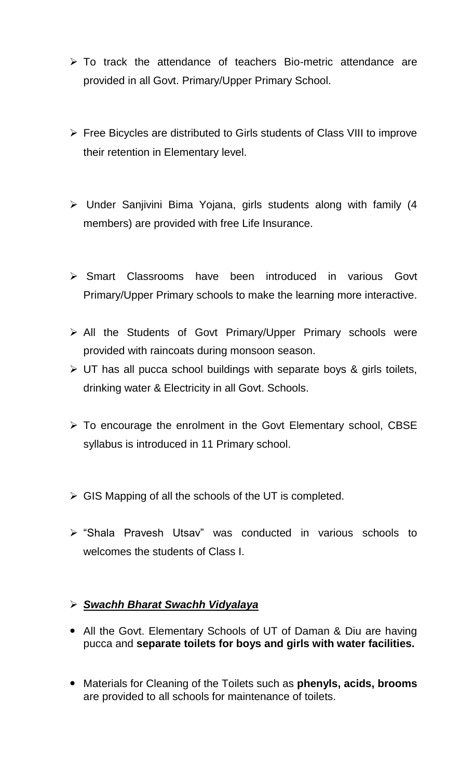- $\triangleright$  To track the attendance of teachers Bio-metric attendance are provided in all Govt. Primary/Upper Primary School.
- Free Bicycles are distributed to Girls students of Class VIII to improve their retention in Elementary level.
- Under Sanjivini Bima Yojana, girls students along with family (4 members) are provided with free Life Insurance.
- Smart Classrooms have been introduced in various Govt Primary/Upper Primary schools to make the learning more interactive.
- All the Students of Govt Primary/Upper Primary schools were provided with raincoats during monsoon season.
- $\triangleright$  UT has all pucca school buildings with separate boys & girls toilets, drinking water & Electricity in all Govt. Schools.
- $\triangleright$  To encourage the enrolment in the Govt Elementary school, CBSE syllabus is introduced in 11 Primary school.
- $\triangleright$  GIS Mapping of all the schools of the UT is completed.
- "Shala Pravesh Utsav" was conducted in various schools to welcomes the students of Class I.

## *Swachh Bharat Swachh Vidyalaya*

- All the Govt. Elementary Schools of UT of Daman & Diu are having pucca and **separate toilets for boys and girls with water facilities.**
- Materials for Cleaning of the Toilets such as **phenyls, acids, brooms** are provided to all schools for maintenance of toilets.